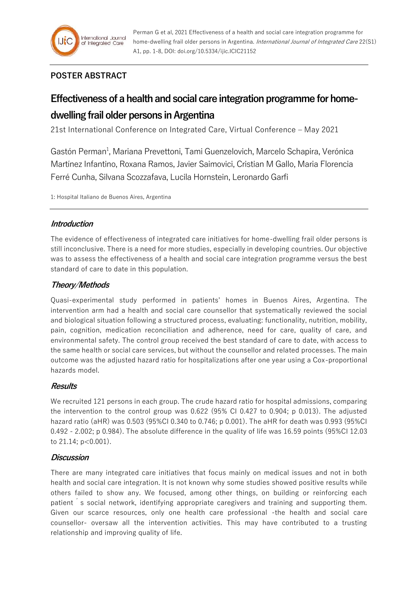

# **POSTER ABSTRACT**

# **Effectiveness of a health and social care integration programme for homedwelling frail older persons in Argentina**

21st International Conference on Integrated Care, Virtual Conference – May 2021

Gastón Perman<sup>1</sup>, Mariana Prevettoni, Tami Guenzelovich, Marcelo Schapira, Verónica Martínez Infantino, Roxana Ramos, Javier Saimovici, Cristian M Gallo, Maria Florencia Ferré Cunha, Silvana Scozzafava, Lucila Hornstein, Leronardo Garfi

1: Hospital Italiano de Buenos Aires, Argentina

# **Introduction**

The evidence of effectiveness of integrated care initiatives for home-dwelling frail older persons is still inconclusive. There is a need for more studies, especially in developing countries. Our objective was to assess the effectiveness of a health and social care integration programme versus the best standard of care to date in this population.

# **Theory/Methods**

Quasi-experimental study performed in patients' homes in Buenos Aires, Argentina. The intervention arm had a health and social care counsellor that systematically reviewed the social and biological situation following a structured process, evaluating: functionality, nutrition, mobility, pain, cognition, medication reconciliation and adherence, need for care, quality of care, and environmental safety. The control group received the best standard of care to date, with access to the same health or social care services, but without the counsellor and related processes. The main outcome was the adjusted hazard ratio for hospitalizations after one year using a Cox-proportional hazards model.

# **Results**

We recruited 121 persons in each group. The crude hazard ratio for hospital admissions, comparing the intervention to the control group was 0.622 (95% CI 0.427 to 0.904; p 0.013). The adjusted hazard ratio (aHR) was 0.503 (95%CI 0.340 to 0.746; p 0.001). The aHR for death was 0.993 (95%CI 0.492 - 2.002; p 0.984). The absolute difference in the quality of life was 16.59 points (95%CI 12.03 to  $21.14$ ;  $p < 0.001$ ).

# **Discussion**

There are many integrated care initiatives that focus mainly on medical issues and not in both health and social care integration. It is not known why some studies showed positive results while others failed to show any. We focused, among other things, on building or reinforcing each patient s social network, identifying appropriate caregivers and training and supporting them. Given our scarce resources, only one health care professional -the health and social care counsellor- oversaw all the intervention activities. This may have contributed to a trusting relationship and improving quality of life.